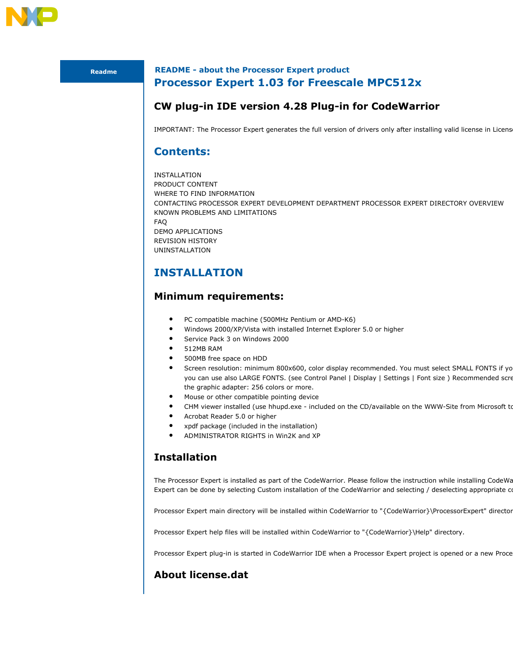

Readme

#### README - about the Processor Expert product Processor Expert 1.03 for Freescale MPC512x

# CW plug-in IDE version 4.28 Plug-in for CodeWarrior

IMPORTANT: The Processor Expert generates the full version of drivers only after installing valid license in License

## Contents:

INSTALLATION PRODUCT CONTENT WHERE TO FIND INFORMATION CONTACTING PROCESSOR EXPERT DEVELOPMENT DEPARTMENT PROCESSOR EXPERT DIRECTORY OVERVIEW KNOWN PROBLEMS AND LIMITATIONS FAQ DEMO APPLICATIONS REVISION HISTORY UNINSTALLATION

# INSTALLATION

### Minimum requirements:

- PC compatible machine (500MHz Pentium or AMD-K6)
- Windows 2000/XP/Vista with installed Internet Explorer 5.0 or higher
- Service Pack 3 on Windows 2000
- 512MB RAM
- 500MB free space on HDD
- Screen resolution: minimum 800x600, color display recommended. You must select SMALL FONTS if you you can use also LARGE FONTS. (see Control Panel | Display | Settings | Font size ) Recommended scre the graphic adapter: 256 colors or more.
- Mouse or other compatible pointing device
- CHM viewer installed (use hhupd.exe included on the CD/available on the WWW-Site from Microsoft to
- Acrobat Reader 5.0 or higher
- xpdf package (included in the installation)
- ADMINISTRATOR RIGHTS in Win2K and XP

#### Installation

The Processor Expert is installed as part of the CodeWarrior. Please follow the instruction while installing CodeWa Expert can be done by selecting Custom installation of the CodeWarrior and selecting / deselecting appropriate c

Processor Expert main directory will be installed within CodeWarrior to "{CodeWarrior}\ProcessorExpert" directory.

Processor Expert help files will be installed within CodeWarrior to "{CodeWarrior}\Help" directory.

Processor Expert plug-in is started in CodeWarrior IDE when a Processor Expert project is opened or a new Proce

## About license.dat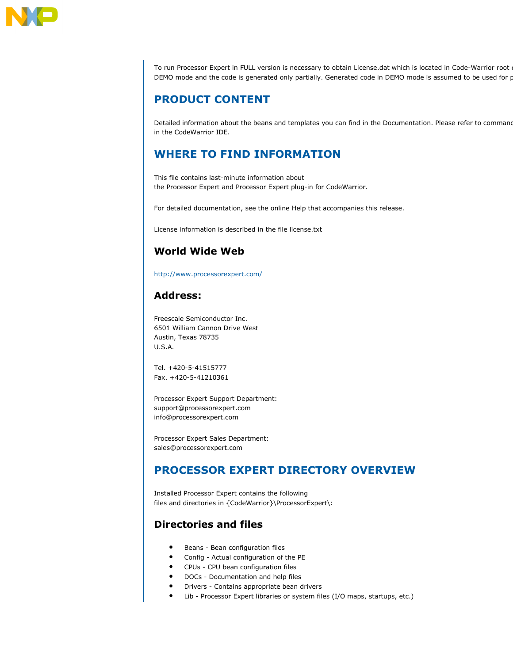

To run Processor Expert in FULL version is necessary to obtain License.dat which is located in Code-Warrior root d DEMO mode and the code is generated only partially. Generated code in DEMO mode is assumed to be used for purposentation purposentation purpose.

## PRODUCT CONTENT

Detailed information about the beans and templates you can find in the Documentation. Please refer to command in the CodeWarrior IDE.

## WHERE TO FIND INFORMATION

This file contains last-minute information about the Processor Expert and Processor Expert plug-in for CodeWarrior.

For detailed documentation, see the online Help that accompanies this release.

License information is described in the file license.txt

## World Wide Web

http://www.processorexpert.com/

#### Address:

Freescale Semiconductor Inc. 6501 William Cannon Drive West Austin, Texas 78735 U.S.A.

Tel. +420-5-41515777 Fax. +420-5-41210361

Processor Expert Support Department: support@processorexpert.com info@processorexpert.com

Processor Expert Sales Department: sales@processorexpert.com

## PROCESSOR EXPERT DIRECTORY OVERVIEW

Installed Processor Expert contains the following files and directories in {CodeWarrior}\ProcessorExpert\:

#### Directories and files

- Beans Bean configuration files
- Config Actual configuration of the PE
- CPUs CPU bean configuration files
- DOCs Documentation and help files
- Drivers Contains appropriate bean drivers
- Lib Processor Expert libraries or system files (I/O maps, startups, etc.)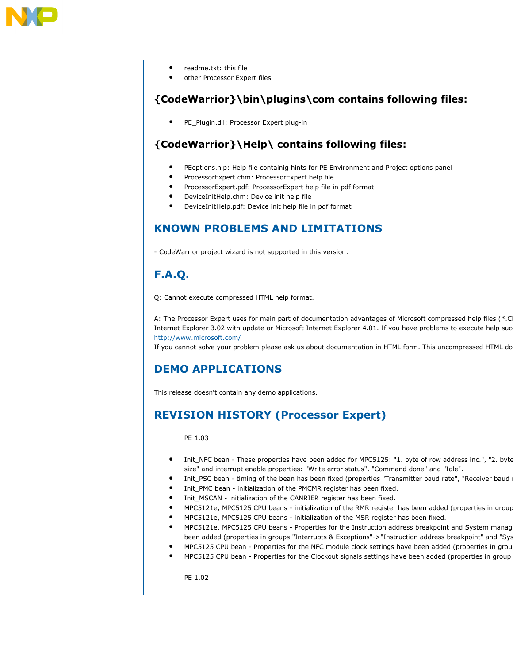

- readme.txt: this file
- other Processor Expert files

# {CodeWarrior}\bin\plugins\com contains following files:

• PE\_Plugin.dll: Processor Expert plug-in

# {CodeWarrior}\Help\ contains following files:

- PEoptions.hlp: Help file containig hints for PE Environment and Project options panel
- ProcessorExpert.chm: ProcessorExpert help file
- ProcessorExpert.pdf: ProcessorExpert help file in pdf format
- DeviceInitHelp.chm: Device init help file
- DeviceInitHelp.pdf: Device init help file in pdf format

## KNOWN PROBLEMS AND LIMITATIONS

- CodeWarrior project wizard is not supported in this version.

# F.A.Q.

Q: Cannot execute compressed HTML help format.

A: The Processor Expert uses for main part of documentation advantages of Microsoft compressed help files (\*.C Internet Explorer 3.02 with update or Microsoft Internet Explorer 4.01. If you have problems to execute help suc http://www.microsoft.com/

If you cannot solve your problem please ask us about documentation in HTML form. This uncompressed HTML do

# DEMO APPLICATIONS

This release doesn't contain any demo applications.

# REVISION HISTORY (Processor Expert)

PE 1.03

- Init\_NFC bean These properties have been added for MPC5125: "1. byte of row address inc.", "2. byte of row address inc.", "3. byte size" and interrupt enable properties: "Write error status", "Command done" and "Idle".
- Init\_PSC bean timing of the bean has been fixed (properties "Transmitter baud rate", "Receiver baud
- Init\_PMC bean initialization of the PMCMR register has been fixed.
- Init\_MSCAN initialization of the CANRIER register has been fixed.
- MPC5121e, MPC5125 CPU beans initialization of the RMR register has been added (properties in group
- MPC5121e, MPC5125 CPU beans initialization of the MSR register has been fixed.
- MPC5121e, MPC5125 CPU beans Properties for the Instruction address breakpoint and System manage been added (properties in groups "Interrupts & Exceptions"->"Instruction address breakpoint" and "Sys
- MPC5125 CPU bean Properties for the NFC module clock settings have been added (properties in grou
- MPC5125 CPU bean Properties for the Clockout signals settings have been added (properties in group

PE 1.02